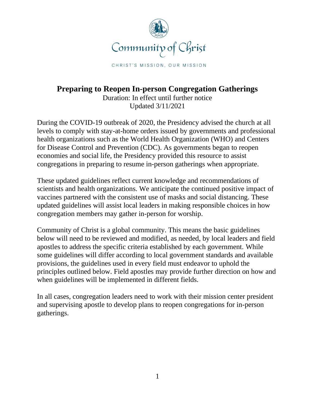

CHRIST'S MISSION, OUR MISSION

# **Preparing to Reopen In-person Congregation Gatherings**

Duration: In effect until further notice Updated 3/11/2021

During the COVID-19 outbreak of 2020, the Presidency advised the church at all levels to comply with stay-at-home orders issued by governments and professional health organizations such as the World Health Organization (WHO) and Centers for Disease Control and Prevention (CDC). As governments began to reopen economies and social life, the Presidency provided this resource to assist congregations in preparing to resume in-person gatherings when appropriate.

These updated guidelines reflect current knowledge and recommendations of scientists and health organizations. We anticipate the continued positive impact of vaccines partnered with the consistent use of masks and social distancing. These updated guidelines will assist local leaders in making responsible choices in how congregation members may gather in-person for worship.

Community of Christ is a global community. This means the basic guidelines below will need to be reviewed and modified, as needed, by local leaders and field apostles to address the specific criteria established by each government. While some guidelines will differ according to local government standards and available provisions, the guidelines used in every field must endeavor to uphold the principles outlined below. Field apostles may provide further direction on how and when guidelines will be implemented in different fields.

In all cases, congregation leaders need to work with their mission center president and supervising apostle to develop plans to reopen congregations for in-person gatherings.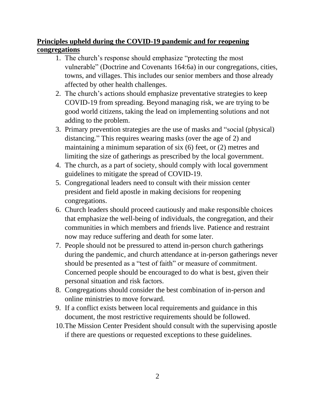# **Principles upheld during the COVID-19 pandemic and for reopening congregations**

- 1. The church's response should emphasize "protecting the most vulnerable" (Doctrine and Covenants 164:6a) in our congregations, cities, towns, and villages. This includes our senior members and those already affected by other health challenges.
- 2. The church's actions should emphasize preventative strategies to keep COVID-19 from spreading. Beyond managing risk, we are trying to be good world citizens, taking the lead on implementing solutions and not adding to the problem.
- 3. Primary prevention strategies are the use of masks and "social (physical) distancing." This requires wearing masks (over the age of 2) and maintaining a minimum separation of six (6) feet, or (2) metres and limiting the size of gatherings as prescribed by the local government.
- 4. The church, as a part of society, should comply with local government guidelines to mitigate the spread of COVID-19.
- 5. Congregational leaders need to consult with their mission center president and field apostle in making decisions for reopening congregations.
- 6. Church leaders should proceed cautiously and make responsible choices that emphasize the well-being of individuals, the congregation, and their communities in which members and friends live. Patience and restraint now may reduce suffering and death for some later.
- 7. People should not be pressured to attend in-person church gatherings during the pandemic, and church attendance at in-person gatherings never should be presented as a "test of faith" or measure of commitment. Concerned people should be encouraged to do what is best, given their personal situation and risk factors.
- 8. Congregations should consider the best combination of in-person and online ministries to move forward.
- 9. If a conflict exists between local requirements and guidance in this document, the most restrictive requirements should be followed.
- 10.The Mission Center President should consult with the supervising apostle if there are questions or requested exceptions to these guidelines.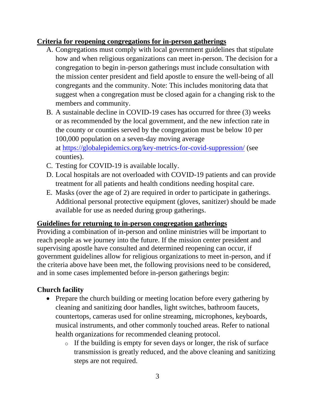## **Criteria for reopening congregations for in-person gatherings**

- A. Congregations must comply with local government guidelines that stipulate how and when religious organizations can meet in-person. The decision for a congregation to begin in-person gatherings must include consultation with the mission center president and field apostle to ensure the well-being of all congregants and the community. Note: This includes monitoring data that suggest when a congregation must be closed again for a changing risk to the members and community.
- B. A sustainable decline in COVID-19 cases has occurred for three (3) weeks or as recommended by the local government, and the new infection rate in the county or counties served by the congregation must be below 10 per 100,000 population on a seven-day moving average at <https://globalepidemics.org/key-metrics-for-covid-suppression/> (see counties).
- C. Testing for COVID-19 is available locally.
- D. Local hospitals are not overloaded with COVID-19 patients and can provide treatment for all patients and health conditions needing hospital care.
- E. Masks (over the age of 2) are required in order to participate in gatherings. Additional personal protective equipment (gloves, sanitizer) should be made available for use as needed during group gatherings.

#### **Guidelines for returning to in-person congregation gatherings**

Providing a combination of in-person and online ministries will be important to reach people as we journey into the future. If the mission center president and supervising apostle have consulted and determined reopening can occur, if government guidelines allow for religious organizations to meet in-person, and if the criteria above have been met, the following provisions need to be considered, and in some cases implemented before in-person gatherings begin:

#### **Church facility**

- Prepare the church building or meeting location before every gathering by cleaning and sanitizing door handles, light switches, bathroom faucets, countertops, cameras used for online streaming, microphones, keyboards, musical instruments, and other commonly touched areas. Refer to national health organizations for recommended cleaning protocol.
	- o If the building is empty for seven days or longer, the risk of surface transmission is greatly reduced, and the above cleaning and sanitizing steps are not required.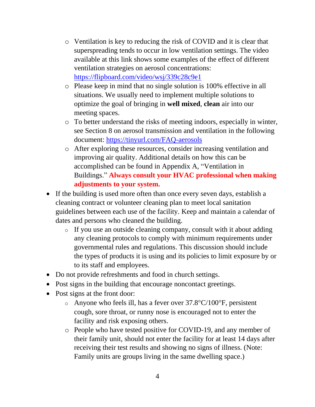- o Ventilation is key to reducing the risk of COVID and it is clear that superspreading tends to occur in low ventilation settings. The video available at this link shows some examples of the effect of different ventilation strategies on aerosol concentrations: [https://flipboard.com/video/wsj/339c28c9e1](https://flip.it/VTb_qV)
- o Please keep in mind that no single solution is 100% effective in all situations. We usually need to implement multiple solutions to optimize the goal of bringing in **well mixed**, **clean** air into our meeting spaces.
- o To better understand the risks of meeting indoors, especially in winter, see Section 8 on aerosol transmission and ventilation in the following document:<https://tinyurl.com/FAQ-aerosols>
- o After exploring these resources, consider increasing ventilation and improving air quality. Additional details on how this can be accomplished can be found in Appendix A, "Ventilation in Buildings." **Always consult your HVAC professional when making adjustments to your system.**
- If the building is used more often than once every seven days, establish a cleaning contract or volunteer cleaning plan to meet local sanitation guidelines between each use of the facility. Keep and maintain a calendar of dates and persons who cleaned the building.
	- o If you use an outside cleaning company, consult with it about adding any cleaning protocols to comply with minimum requirements under governmental rules and regulations. This discussion should include the types of products it is using and its policies to limit exposure by or to its staff and employees.
- Do not provide refreshments and food in church settings.
- Post signs in the building that encourage noncontact greetings.
- Post signs at the front door:
	- $\circ$  Anyone who feels ill, has a fever over 37.8°C/100°F, persistent cough, sore throat, or runny nose is encouraged not to enter the facility and risk exposing others.
	- o People who have tested positive for COVID-19, and any member of their family unit, should not enter the facility for at least 14 days after receiving their test results and showing no signs of illness. (Note: Family units are groups living in the same dwelling space.)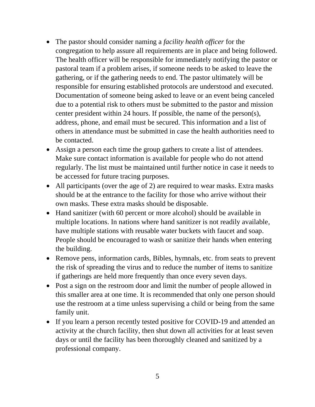- The pastor should consider naming a *facility health officer* for the congregation to help assure all requirements are in place and being followed. The health officer will be responsible for immediately notifying the pastor or pastoral team if a problem arises, if someone needs to be asked to leave the gathering, or if the gathering needs to end. The pastor ultimately will be responsible for ensuring established protocols are understood and executed. Documentation of someone being asked to leave or an event being canceled due to a potential risk to others must be submitted to the pastor and mission center president within 24 hours. If possible, the name of the person(s), address, phone, and email must be secured. This information and a list of others in attendance must be submitted in case the health authorities need to be contacted.
- Assign a person each time the group gathers to create a list of attendees. Make sure contact information is available for people who do not attend regularly. The list must be maintained until further notice in case it needs to be accessed for future tracing purposes.
- All participants (over the age of 2) are required to wear masks. Extra masks should be at the entrance to the facility for those who arrive without their own masks. These extra masks should be disposable.
- Hand sanitizer (with 60 percent or more alcohol) should be available in multiple locations. In nations where hand sanitizer is not readily available, have multiple stations with reusable water buckets with faucet and soap. People should be encouraged to wash or sanitize their hands when entering the building.
- Remove pens, information cards, Bibles, hymnals, etc. from seats to prevent the risk of spreading the virus and to reduce the number of items to sanitize if gatherings are held more frequently than once every seven days.
- Post a sign on the restroom door and limit the number of people allowed in this smaller area at one time. It is recommended that only one person should use the restroom at a time unless supervising a child or being from the same family unit.
- If you learn a person recently tested positive for COVID-19 and attended an activity at the church facility, then shut down all activities for at least seven days or until the facility has been thoroughly cleaned and sanitized by a professional company.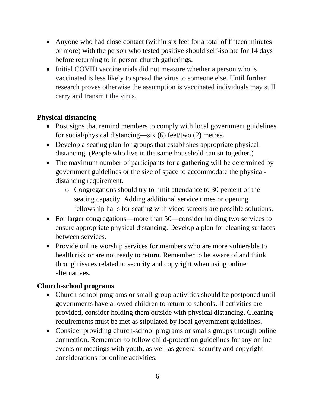- Anyone who had close contact (within six feet for a total of fifteen minutes or more) with the person who tested positive should self-isolate for 14 days before returning to in person church gatherings.
- Initial COVID vaccine trials did not measure whether a person who is vaccinated is less likely to spread the virus to someone else. Until further research proves otherwise the assumption is vaccinated individuals may still carry and transmit the virus.

## **Physical distancing**

- Post signs that remind members to comply with local government guidelines for social/physical distancing—six (6) feet/two (2) metres.
- Develop a seating plan for groups that establishes appropriate physical distancing. (People who live in the same household can sit together.)
- The maximum number of participants for a gathering will be determined by government guidelines or the size of space to accommodate the physicaldistancing requirement.
	- o Congregations should try to limit attendance to 30 percent of the seating capacity. Adding additional service times or opening fellowship halls for seating with video screens are possible solutions.
- For larger congregations—more than 50—consider holding two services to ensure appropriate physical distancing. Develop a plan for cleaning surfaces between services.
- Provide online worship services for members who are more vulnerable to health risk or are not ready to return. Remember to be aware of and think through issues related to security and copyright when using online alternatives.

# **Church-school programs**

- Church-school programs or small-group activities should be postponed until governments have allowed children to return to schools. If activities are provided, consider holding them outside with physical distancing. Cleaning requirements must be met as stipulated by local government guidelines.
- Consider providing church-school programs or smalls groups through online connection. Remember to follow child-protection guidelines for any online events or meetings with youth, as well as general security and copyright considerations for online activities.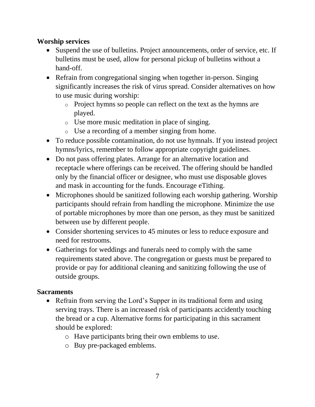#### **Worship services**

- Suspend the use of bulletins. Project announcements, order of service, etc. If bulletins must be used, allow for personal pickup of bulletins without a hand-off.
- Refrain from congregational singing when together in-person. Singing significantly increases the risk of virus spread. Consider alternatives on how to use music during worship:
	- o Project hymns so people can reflect on the text as the hymns are played.
	- o Use more music meditation in place of singing.
	- o Use a recording of a member singing from home.
- To reduce possible contamination, do not use hymnals. If you instead project hymns/lyrics, remember to follow appropriate copyright guidelines.
- Do not pass offering plates. Arrange for an alternative location and receptacle where offerings can be received. The offering should be handled only by the financial officer or designee, who must use disposable gloves and mask in accounting for the funds. Encourage eTithing.
- Microphones should be sanitized following each worship gathering. Worship participants should refrain from handling the microphone. Minimize the use of portable microphones by more than one person, as they must be sanitized between use by different people.
- Consider shortening services to 45 minutes or less to reduce exposure and need for restrooms.
- Gatherings for weddings and funerals need to comply with the same requirements stated above. The congregation or guests must be prepared to provide or pay for additional cleaning and sanitizing following the use of outside groups.

## **Sacraments**

- Refrain from serving the Lord's Supper in its traditional form and using serving trays. There is an increased risk of participants accidently touching the bread or a cup. Alternative forms for participating in this sacrament should be explored:
	- o Have participants bring their own emblems to use.
	- o Buy pre-packaged emblems.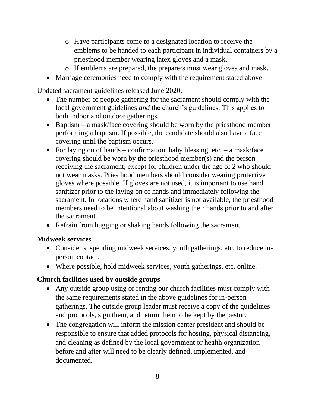- o Have participants come to a designated location to receive the emblems to be handed to each participant in individual containers by a priesthood member wearing latex gloves and a mask.
- o If emblems are prepared, the preparers must wear gloves and mask.
- Marriage ceremonies need to comply with the requirement stated above.

Updated sacrament guidelines released June 2020:

- The number of people gathering for the sacrament should comply with the local government guidelines *and* the church's guidelines. This applies to both indoor and outdoor gatherings.
- Baptism a mask/face covering should be worn by the priesthood member performing a baptism. If possible, the candidate should also have a face covering until the baptism occurs.
- For laying on of hands confirmation, baby blessing, etc. a mask/face covering should be worn by the priesthood member(s) and the person receiving the sacrament, except for children under the age of 2 who should not wear masks. Priesthood members should consider wearing protective gloves where possible. If gloves are not used, it is important to use hand sanitizer prior to the laying on of hands and immediately following the sacrament. In locations where hand sanitizer is not available, the priesthood members need to be intentional about washing their hands prior to and after the sacrament.
- Refrain from hugging or shaking hands following the sacrament.

## **Midweek services**

- Consider suspending midweek services, youth gatherings, etc. to reduce inperson contact.
- Where possible, hold midweek services, youth gatherings, etc. online.

## **Church facilities used by outside groups**

- Any outside group using or renting our church facilities must comply with the same requirements stated in the above guidelines for in-person gatherings. The outside group leader must receive a copy of the guidelines and protocols, sign them, and return them to be kept by the pastor.
- The congregation will inform the mission center president and should be responsible to ensure that added protocols for hosting, physical distancing, and cleaning as defined by the local government or health organization before and after will need to be clearly defined, implemented, and documented.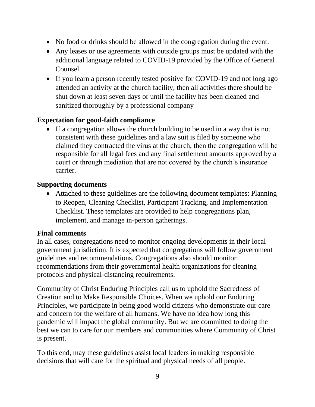- No food or drinks should be allowed in the congregation during the event.
- Any leases or use agreements with outside groups must be updated with the additional language related to COVID-19 provided by the Office of General Counsel.
- If you learn a person recently tested positive for COVID-19 and not long ago attended an activity at the church facility, then all activities there should be shut down at least seven days or until the facility has been cleaned and sanitized thoroughly by a professional company

#### **Expectation for good-faith compliance**

• If a congregation allows the church building to be used in a way that is not consistent with these guidelines and a law suit is filed by someone who claimed they contracted the virus at the church, then the congregation will be responsible for all legal fees and any final settlement amounts approved by a court or through mediation that are not covered by the church's insurance carrier.

#### **Supporting documents**

• Attached to these guidelines are the following document templates: Planning to Reopen, Cleaning Checklist, Participant Tracking, and Implementation Checklist. These templates are provided to help congregations plan, implement, and manage in-person gatherings.

#### **Final comments**

In all cases, congregations need to monitor ongoing developments in their local government jurisdiction. It is expected that congregations will follow government guidelines and recommendations. Congregations also should monitor recommendations from their governmental health organizations for cleaning protocols and physical-distancing requirements.

Community of Christ Enduring Principles call us to uphold the Sacredness of Creation and to Make Responsible Choices. When we uphold our Enduring Principles, we participate in being good world citizens who demonstrate our care and concern for the welfare of all humans. We have no idea how long this pandemic will impact the global community. But we are committed to doing the best we can to care for our members and communities where Community of Christ is present.

To this end, may these guidelines assist local leaders in making responsible decisions that will care for the spiritual and physical needs of all people.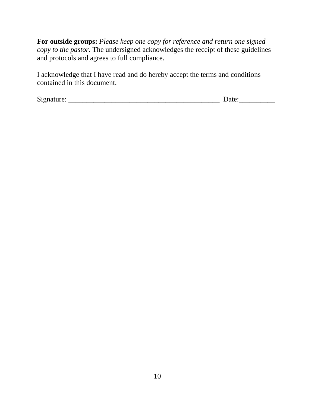**For outside groups:** *Please keep one copy for reference and return one signed copy to the pastor.* The undersigned acknowledges the receipt of these guidelines and protocols and agrees to full compliance.

I acknowledge that I have read and do hereby accept the terms and conditions contained in this document.

Signature: \_\_\_\_\_\_\_\_\_\_\_\_\_\_\_\_\_\_\_\_\_\_\_\_\_\_\_\_\_\_\_\_\_\_\_\_\_\_\_\_\_\_ Date:\_\_\_\_\_\_\_\_\_\_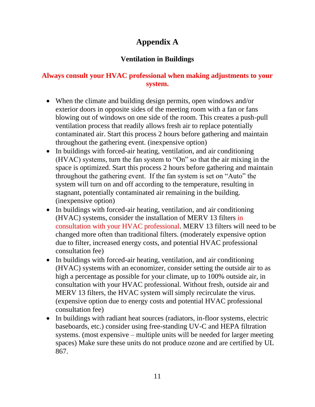# **Appendix A**

# **Ventilation in Buildings**

# **Always consult your HVAC professional when making adjustments to your system.**

- When the climate and building design permits, open windows and/or exterior doors in opposite sides of the meeting room with a fan or fans blowing out of windows on one side of the room. This creates a push-pull ventilation process that readily allows fresh air to replace potentially contaminated air. Start this process 2 hours before gathering and maintain throughout the gathering event. (inexpensive option)
- In buildings with forced-air heating, ventilation, and air conditioning (HVAC) systems, turn the fan system to "On" so that the air mixing in the space is optimized. Start this process 2 hours before gathering and maintain throughout the gathering event. If the fan system is set on "Auto" the system will turn on and off according to the temperature, resulting in stagnant, potentially contaminated air remaining in the building. (inexpensive option)
- In buildings with forced-air heating, ventilation, and air conditioning (HVAC) systems, consider the installation of MERV 13 filters in consultation with your HVAC professional. MERV 13 filters will need to be changed more often than traditional filters. (moderately expensive option due to filter, increased energy costs, and potential HVAC professional consultation fee)
- In buildings with forced-air heating, ventilation, and air conditioning (HVAC) systems with an economizer, consider setting the outside air to as high a percentage as possible for your climate, up to 100% outside air, in consultation with your HVAC professional. Without fresh, outside air and MERV 13 filters, the HVAC system will simply recirculate the virus. (expensive option due to energy costs and potential HVAC professional consultation fee)
- In buildings with radiant heat sources (radiators, in-floor systems, electric baseboards, etc.) consider using free-standing UV-C and HEPA filtration systems. (most expensive – multiple units will be needed for larger meeting spaces) Make sure these units do not produce ozone and are certified by UL 867.